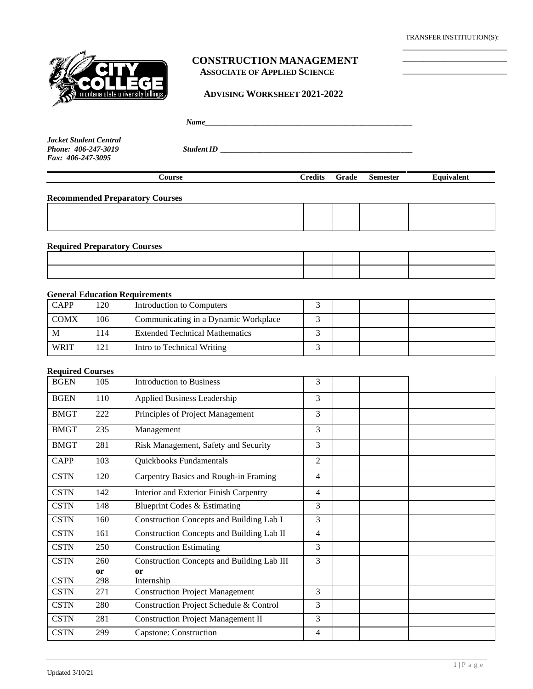TRANSFER INSTITIUTION(S): \_\_\_\_\_\_\_\_\_\_\_\_\_\_\_\_\_\_\_\_\_\_\_\_

\_\_\_\_\_\_\_\_\_\_\_\_\_\_\_\_\_\_\_\_ \_\_\_\_\_\_\_\_\_\_\_\_\_\_\_\_\_\_\_\_



#### **CONSTRUCTION MANAGEMENT ASSOCIATE OF APPLIED SCIENCE**

 **ADVISING WORKSHEET 2021-2022**

 *Name\_\_\_\_\_\_\_\_\_\_\_\_\_\_\_\_\_\_\_\_\_\_\_\_\_\_\_\_\_\_\_\_\_\_\_\_\_\_\_\_\_\_\_\_\_\_\_\_\_\_\_\_\_*

*Jacket Student Central Fax: 406-247-3095*

*Phone: 406-247-3019 StudentID \_\_\_\_\_\_\_\_\_\_\_\_\_\_\_\_\_\_\_\_\_\_\_\_\_\_\_\_\_\_\_\_\_\_\_\_\_\_\_\_\_\_\_\_\_\_\_\_\_*

| Course | <b>Predits</b> | Grade | <b>Semester</b> | Equivalent |
|--------|----------------|-------|-----------------|------------|
|        |                |       |                 |            |

**Recommended Preparatory Courses**

**Required Preparatory Courses**

#### **General Education Requirements**

| <b>CAPP</b> | 120 | Introduction to Computers             |  |  |
|-------------|-----|---------------------------------------|--|--|
| <b>COMX</b> | 106 | Communicating in a Dynamic Workplace  |  |  |
| M           | 14  | <b>Extended Technical Mathematics</b> |  |  |
| <b>WRIT</b> |     | Intro to Technical Writing            |  |  |

#### **Required Courses**

| <b>BGEN</b> | 105           | Introduction to Business                          | 3              |  |
|-------------|---------------|---------------------------------------------------|----------------|--|
| <b>BGEN</b> | 110           | Applied Business Leadership                       | 3              |  |
| <b>BMGT</b> | 222           | Principles of Project Management                  | 3              |  |
| <b>BMGT</b> | 235           | Management                                        | 3              |  |
| <b>BMGT</b> | 281           | Risk Management, Safety and Security              | 3              |  |
| <b>CAPP</b> | 103           | Quickbooks Fundamentals                           | $\overline{2}$ |  |
| <b>CSTN</b> | 120           | Carpentry Basics and Rough-in Framing             | 4              |  |
| <b>CSTN</b> | 142           | Interior and Exterior Finish Carpentry            | 4              |  |
| <b>CSTN</b> | 148           | Blueprint Codes & Estimating                      | 3              |  |
| <b>CSTN</b> | 160           | Construction Concepts and Building Lab I          | 3              |  |
| <b>CSTN</b> | 161           | Construction Concepts and Building Lab II         | 4              |  |
| <b>CSTN</b> | 250           | <b>Construction Estimating</b>                    | 3              |  |
| <b>CSTN</b> | 260           | <b>Construction Concepts and Building Lab III</b> | 3              |  |
|             | <sub>or</sub> | or                                                |                |  |
| <b>CSTN</b> | 298           | Internship                                        |                |  |
| <b>CSTN</b> | 271           | <b>Construction Project Management</b>            | 3              |  |
| <b>CSTN</b> | 280           | Construction Project Schedule & Control           | 3              |  |
| <b>CSTN</b> | 281           | <b>Construction Project Management II</b>         | 3              |  |
| <b>CSTN</b> | 299           | Capstone: Construction                            | 4              |  |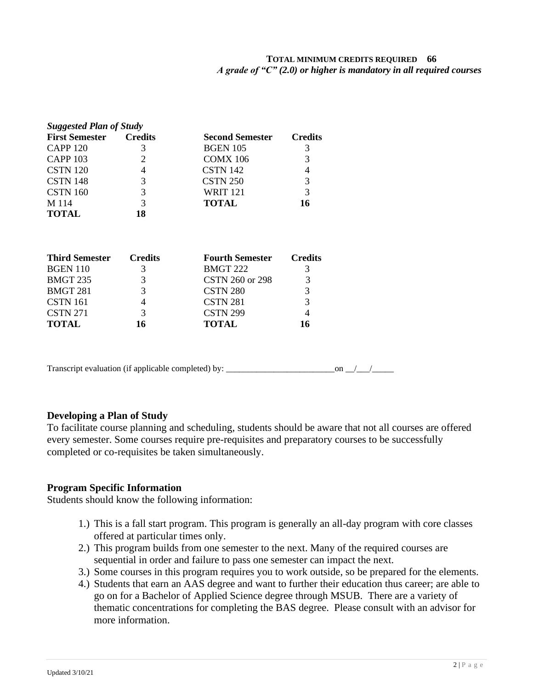### **TOTAL MINIMUM CREDITS REQUIRED 66**  *A grade of "C" (2.0) or higher is mandatory in all required courses*

| <b>Suggested Plan of Study</b> |                |                        |                |  |  |
|--------------------------------|----------------|------------------------|----------------|--|--|
| <b>First Semester</b>          | <b>Credits</b> | <b>Second Semester</b> | <b>Credits</b> |  |  |
| <b>CAPP 120</b>                | 3              | <b>BGEN 105</b>        | 3              |  |  |
| <b>CAPP 103</b>                | 2              | <b>COMX 106</b>        | 3              |  |  |
| <b>CSTN</b> 120                | 4              | CSTN 142               | 4              |  |  |
| <b>CSTN 148</b>                | 3              | CSTN <sub>250</sub>    | 3              |  |  |
| CSTN 160                       | 3              | <b>WRIT 121</b>        | 3              |  |  |
| M 114                          | 3              | <b>TOTAL</b>           | 16             |  |  |
| <b>TOTAL</b>                   | 18             |                        |                |  |  |
| <b>Third Semester</b>          | <b>Credits</b> | <b>Fourth Semester</b> | <b>Credits</b> |  |  |
| <b>BGEN 110</b>                | 3              | <b>BMGT 222</b>        | 3              |  |  |
| <b>BMGT 235</b>                | 3              | CSTN 260 or 298        | 3              |  |  |
| <b>BMGT 281</b>                | 3              | CSTN <sub>280</sub>    | 3              |  |  |
| <b>CSTN 161</b>                | 4              | CSTN 281               | 3              |  |  |
| <b>CSTN 271</b>                | 3              | <b>CSTN 299</b>        | 4              |  |  |
|                                |                | TOTAL                  |                |  |  |

Transcript evaluation (if applicable completed) by: \_\_\_\_\_\_\_\_\_\_\_\_\_\_\_\_\_\_\_\_\_\_\_\_\_on \_\_/\_\_\_/\_\_\_\_\_

## **Developing a Plan of Study**

To facilitate course planning and scheduling, students should be aware that not all courses are offered every semester. Some courses require pre-requisites and preparatory courses to be successfully completed or co-requisites be taken simultaneously.

#### **Program Specific Information**

Students should know the following information:

- 1.) This is a fall start program. This program is generally an all-day program with core classes offered at particular times only.
- 2.) This program builds from one semester to the next. Many of the required courses are sequential in order and failure to pass one semester can impact the next.
- 3.) Some courses in this program requires you to work outside, so be prepared for the elements.
- 4.) Students that earn an AAS degree and want to further their education thus career; are able to go on for a Bachelor of Applied Science degree through MSUB. There are a variety of thematic concentrations for completing the BAS degree. Please consult with an advisor for more information.